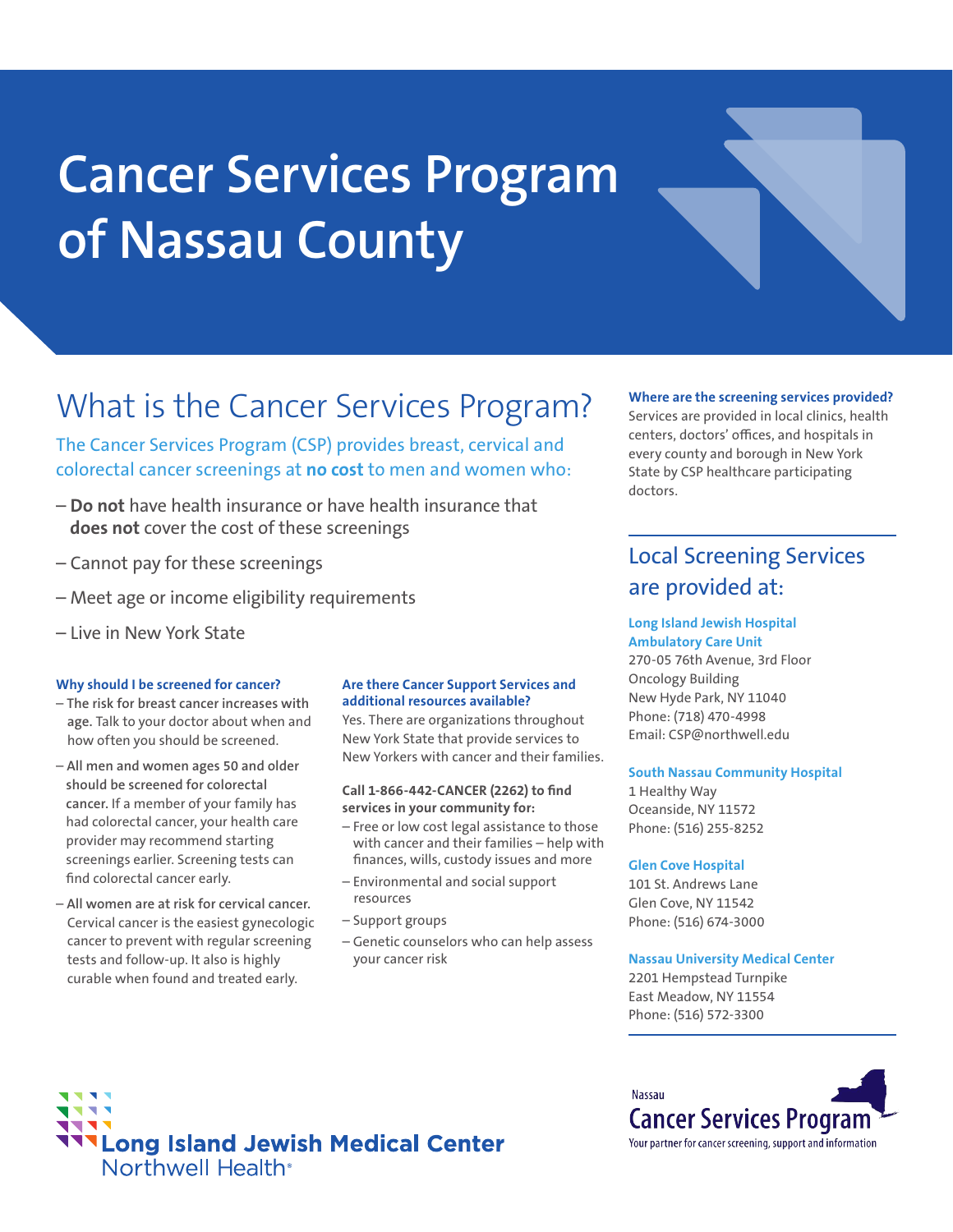# **Cancer Services Program of Nassau County**



The Cancer Services Program (CSP) provides breast, cervical and colorectal cancer screenings at **no cost** to men and women who:

- **Do not** have health insurance or have health insurance that **does not** cover the cost of these screenings
- Cannot pay for these screenings
- Meet age or income eligibility requirements
- Live in New York State

#### **Why should I be screened for cancer?**

- **The risk for breast cancer increases with age.** Talk to your doctor about when and how often you should be screened.
- **All men and women ages 50 and older should be screened for colorectal cancer.** If a member of your family has had colorectal cancer, your health care provider may recommend starting screenings earlier. Screening tests can find colorectal cancer early.
- **All women are at risk for cervical cancer.**  Cervical cancer is the easiest gynecologic cancer to prevent with regular screening tests and follow-up. It also is highly curable when found and treated early.

#### **Are there Cancer Support Services and additional resources available?**

Yes. There are organizations throughout New York State that provide services to New Yorkers with cancer and their families.

**Call 1-866-442-CANCER (2262) to find services in your community for:**

- Free or low cost legal assistance to those with cancer and their families – help with finances, wills, custody issues and more
- Environmental and social support resources
- Support groups
- Genetic counselors who can help assess your cancer risk

#### **Where are the screening services provided?**

Services are provided in local clinics, health centers, doctors' offices, and hospitals in every county and borough in New York State by CSP healthcare participating doctors.

### Local Screening Services are provided at:

#### **Long Island Jewish Hospital Ambulatory Care Unit**

270-05 76th Avenue, 3rd Floor Oncology Building New Hyde Park, NY 11040 Phone: (718) 470-4998 Email: CSP@northwell.edu

#### **South Nassau Community Hospital**

1 Healthy Way Oceanside, NY 11572 Phone: (516) 255-8252

#### **Glen Cove Hospital**

101 St. Andrews Lane Glen Cove, NY 11542 Phone: (516) 674-3000

#### **Nassau University Medical Center**

2201 Hempstead Turnpike East Meadow, NY 11554 Phone: (516) 572-3300